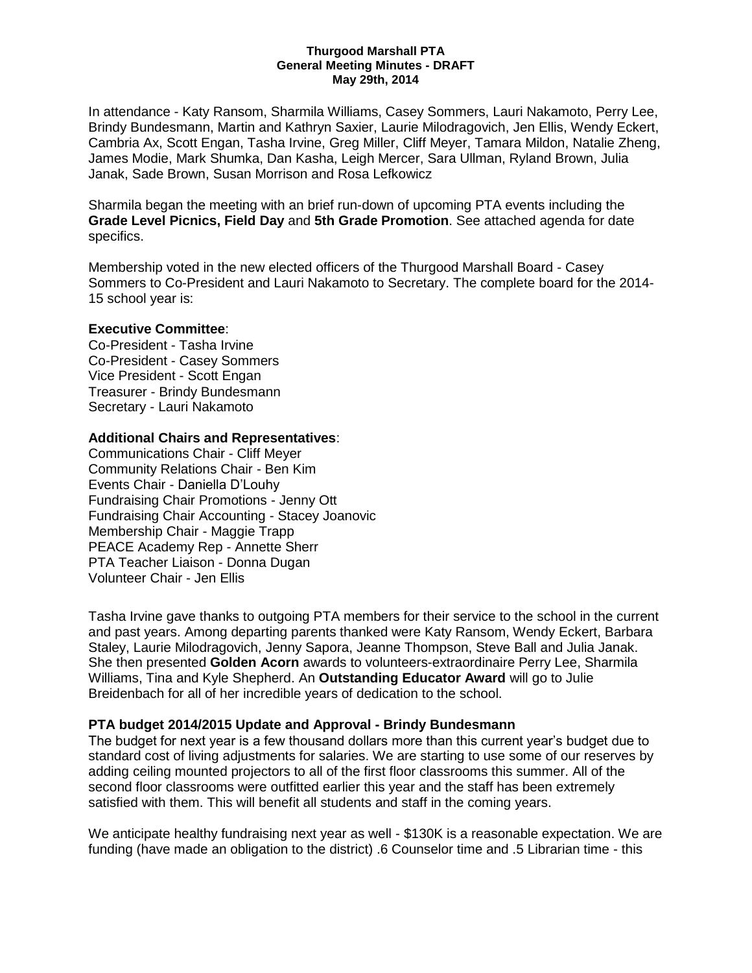#### **Thurgood Marshall PTA General Meeting Minutes - DRAFT May 29th, 2014**

In attendance - Katy Ransom, Sharmila Williams, Casey Sommers, Lauri Nakamoto, Perry Lee, Brindy Bundesmann, Martin and Kathryn Saxier, Laurie Milodragovich, Jen Ellis, Wendy Eckert, Cambria Ax, Scott Engan, Tasha Irvine, Greg Miller, Cliff Meyer, Tamara Mildon, Natalie Zheng, James Modie, Mark Shumka, Dan Kasha, Leigh Mercer, Sara Ullman, Ryland Brown, Julia Janak, Sade Brown, Susan Morrison and Rosa Lefkowicz

Sharmila began the meeting with an brief run-down of upcoming PTA events including the **Grade Level Picnics, Field Day** and **5th Grade Promotion**. See attached agenda for date specifics.

Membership voted in the new elected officers of the Thurgood Marshall Board - Casey Sommers to Co-President and Lauri Nakamoto to Secretary. The complete board for the 2014- 15 school year is:

### **Executive Committee**:

Co-President - Tasha Irvine Co-President - Casey Sommers Vice President - Scott Engan Treasurer - Brindy Bundesmann Secretary - Lauri Nakamoto

## **Additional Chairs and Representatives**:

Communications Chair - Cliff Meyer Community Relations Chair - Ben Kim Events Chair - Daniella D'Louhy Fundraising Chair Promotions - Jenny Ott Fundraising Chair Accounting - Stacey Joanovic Membership Chair - Maggie Trapp PEACE Academy Rep - Annette Sherr PTA Teacher Liaison - Donna Dugan Volunteer Chair - Jen Ellis

Tasha Irvine gave thanks to outgoing PTA members for their service to the school in the current and past years. Among departing parents thanked were Katy Ransom, Wendy Eckert, Barbara Staley, Laurie Milodragovich, Jenny Sapora, Jeanne Thompson, Steve Ball and Julia Janak. She then presented **Golden Acorn** awards to volunteers-extraordinaire Perry Lee, Sharmila Williams, Tina and Kyle Shepherd. An **Outstanding Educator Award** will go to Julie Breidenbach for all of her incredible years of dedication to the school.

# **PTA budget 2014/2015 Update and Approval - Brindy Bundesmann**

The budget for next year is a few thousand dollars more than this current year's budget due to standard cost of living adjustments for salaries. We are starting to use some of our reserves by adding ceiling mounted projectors to all of the first floor classrooms this summer. All of the second floor classrooms were outfitted earlier this year and the staff has been extremely satisfied with them. This will benefit all students and staff in the coming years.

We anticipate healthy fundraising next year as well - \$130K is a reasonable expectation. We are funding (have made an obligation to the district) .6 Counselor time and .5 Librarian time - this